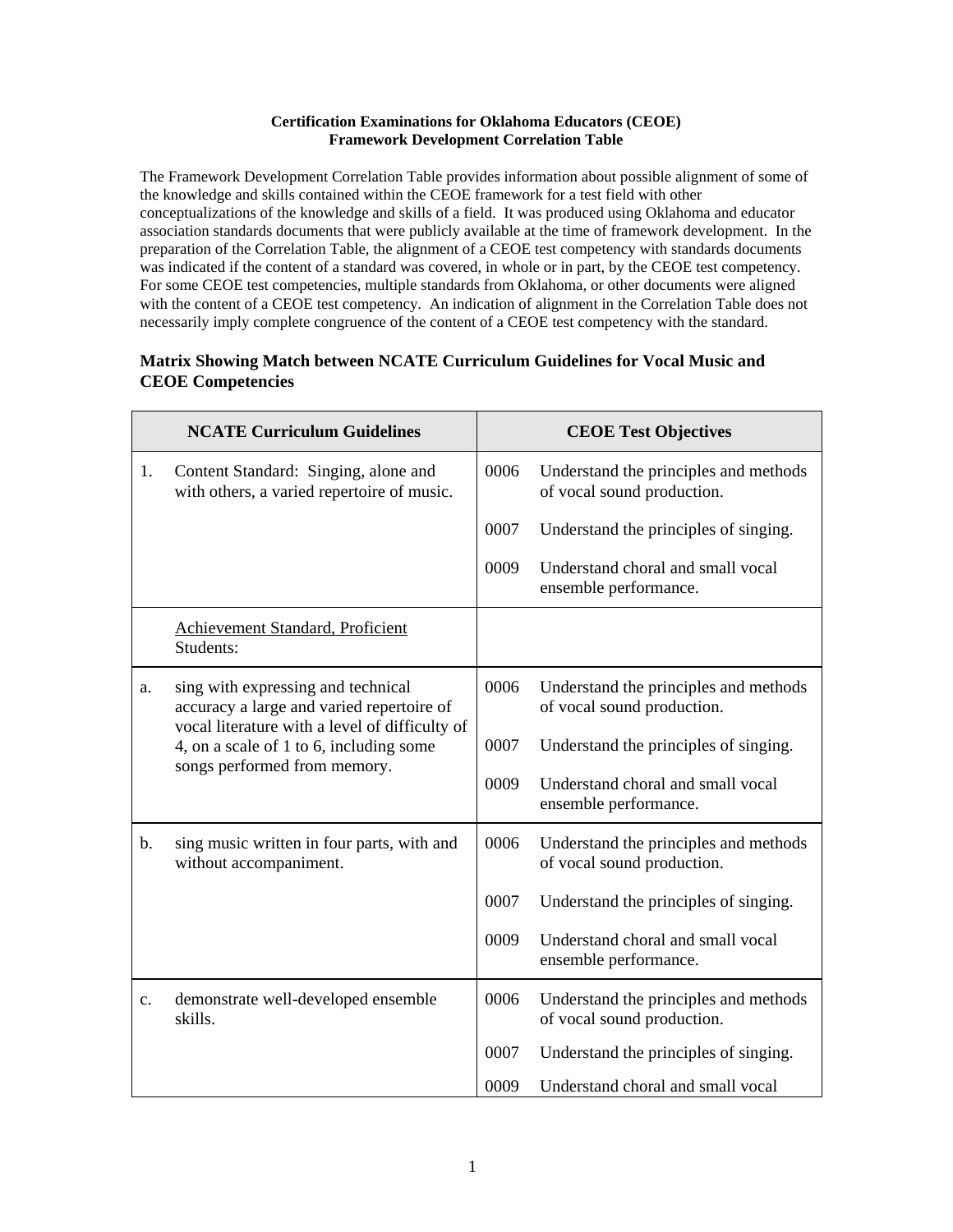## **Certification Examinations for Oklahoma Educators (CEOE) Framework Development Correlation Table**

The Framework Development Correlation Table provides information about possible alignment of some of the knowledge and skills contained within the CEOE framework for a test field with other conceptualizations of the knowledge and skills of a field. It was produced using Oklahoma and educator association standards documents that were publicly available at the time of framework development. In the preparation of the Correlation Table, the alignment of a CEOE test competency with standards documents was indicated if the content of a standard was covered, in whole or in part, by the CEOE test competency. For some CEOE test competencies, multiple standards from Oklahoma, or other documents were aligned with the content of a CEOE test competency. An indication of alignment in the Correlation Table does not necessarily imply complete congruence of the content of a CEOE test competency with the standard.

## **Matrix Showing Match between NCATE Curriculum Guidelines for Vocal Music and CEOE Competencies**

|                | <b>NCATE Curriculum Guidelines</b>                                                        |      | <b>CEOE Test Objectives</b>                                         |
|----------------|-------------------------------------------------------------------------------------------|------|---------------------------------------------------------------------|
| 1.             | Content Standard: Singing, alone and<br>with others, a varied repertoire of music.        | 0006 | Understand the principles and methods<br>of vocal sound production. |
|                |                                                                                           | 0007 | Understand the principles of singing.                               |
|                |                                                                                           | 0009 | Understand choral and small vocal<br>ensemble performance.          |
|                | Achievement Standard, Proficient<br>Students:                                             |      |                                                                     |
| a.             | sing with expressing and technical<br>accuracy a large and varied repertoire of           | 0006 | Understand the principles and methods<br>of vocal sound production. |
|                | vocal literature with a level of difficulty of<br>4, on a scale of 1 to 6, including some | 0007 | Understand the principles of singing.                               |
|                | songs performed from memory.                                                              | 0009 | Understand choral and small vocal<br>ensemble performance.          |
| b.             | sing music written in four parts, with and<br>without accompaniment.                      | 0006 | Understand the principles and methods<br>of vocal sound production. |
|                |                                                                                           | 0007 | Understand the principles of singing.                               |
|                |                                                                                           | 0009 | Understand choral and small vocal<br>ensemble performance.          |
| $\mathbf{c}$ . | demonstrate well-developed ensemble<br>skills.                                            | 0006 | Understand the principles and methods<br>of vocal sound production. |
|                |                                                                                           | 0007 | Understand the principles of singing.                               |
|                |                                                                                           | 0009 | Understand choral and small vocal                                   |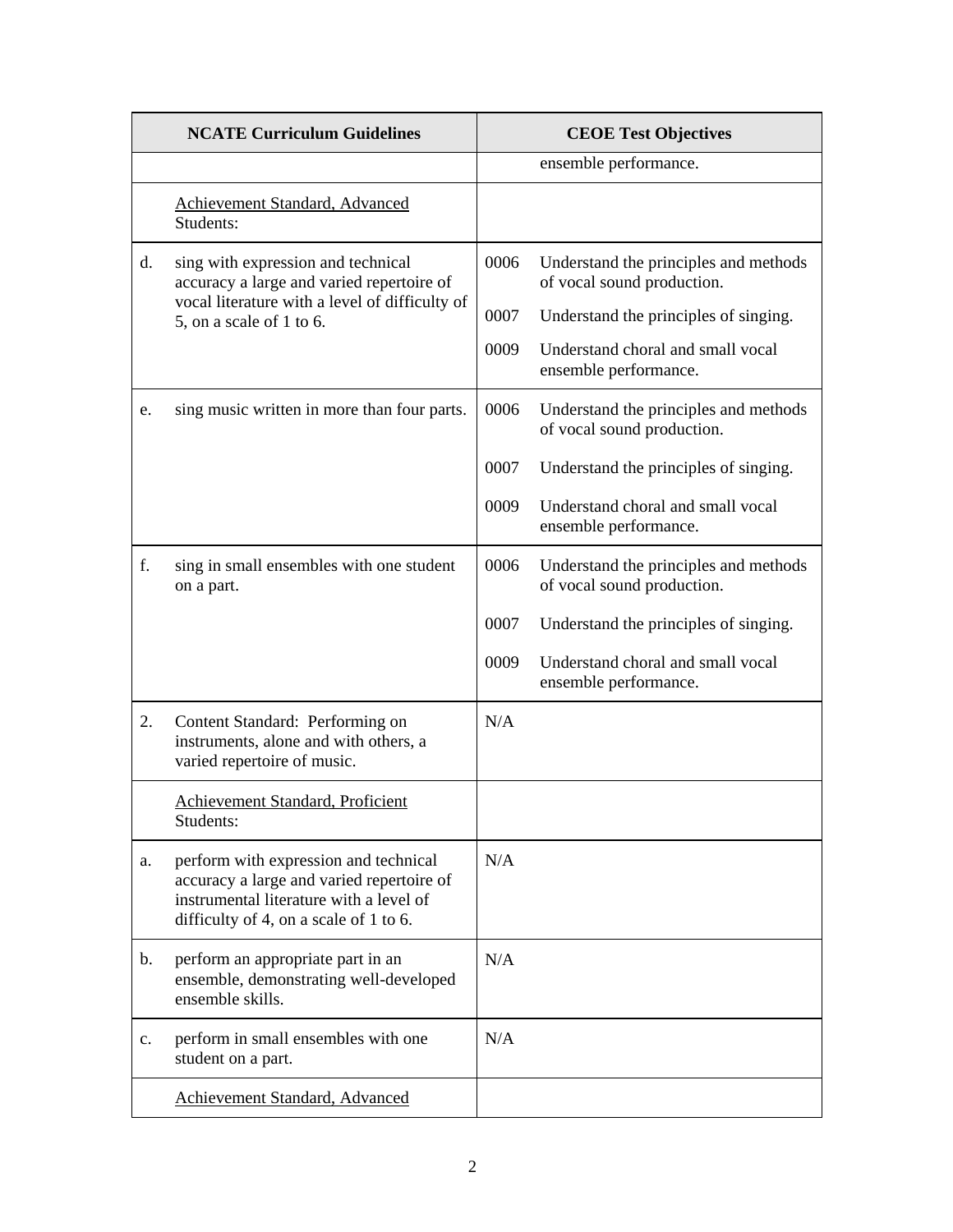|    | <b>NCATE Curriculum Guidelines</b>                                                                                                                                      |      | <b>CEOE Test Objectives</b>                                         |
|----|-------------------------------------------------------------------------------------------------------------------------------------------------------------------------|------|---------------------------------------------------------------------|
|    |                                                                                                                                                                         |      | ensemble performance.                                               |
|    | Achievement Standard, Advanced<br>Students:                                                                                                                             |      |                                                                     |
| d. | sing with expression and technical<br>accuracy a large and varied repertoire of<br>vocal literature with a level of difficulty of                                       | 0006 | Understand the principles and methods<br>of vocal sound production. |
|    | 5, on a scale of 1 to 6.                                                                                                                                                | 0007 | Understand the principles of singing.                               |
|    |                                                                                                                                                                         | 0009 | Understand choral and small vocal<br>ensemble performance.          |
| e. | sing music written in more than four parts.                                                                                                                             | 0006 | Understand the principles and methods<br>of vocal sound production. |
|    |                                                                                                                                                                         | 0007 | Understand the principles of singing.                               |
|    |                                                                                                                                                                         | 0009 | Understand choral and small vocal<br>ensemble performance.          |
| f. | sing in small ensembles with one student<br>on a part.                                                                                                                  | 0006 | Understand the principles and methods<br>of vocal sound production. |
|    |                                                                                                                                                                         | 0007 | Understand the principles of singing.                               |
|    |                                                                                                                                                                         | 0009 | Understand choral and small vocal<br>ensemble performance.          |
| 2. | Content Standard: Performing on<br>instruments, alone and with others, a<br>varied repertoire of music.                                                                 | N/A  |                                                                     |
|    | Achievement Standard, Proficient<br>Students:                                                                                                                           |      |                                                                     |
| a. | perform with expression and technical<br>accuracy a large and varied repertoire of<br>instrumental literature with a level of<br>difficulty of 4, on a scale of 1 to 6. | N/A  |                                                                     |
| b. | perform an appropriate part in an<br>ensemble, demonstrating well-developed<br>ensemble skills.                                                                         | N/A  |                                                                     |
| c. | perform in small ensembles with one<br>student on a part.                                                                                                               | N/A  |                                                                     |
|    | Achievement Standard, Advanced                                                                                                                                          |      |                                                                     |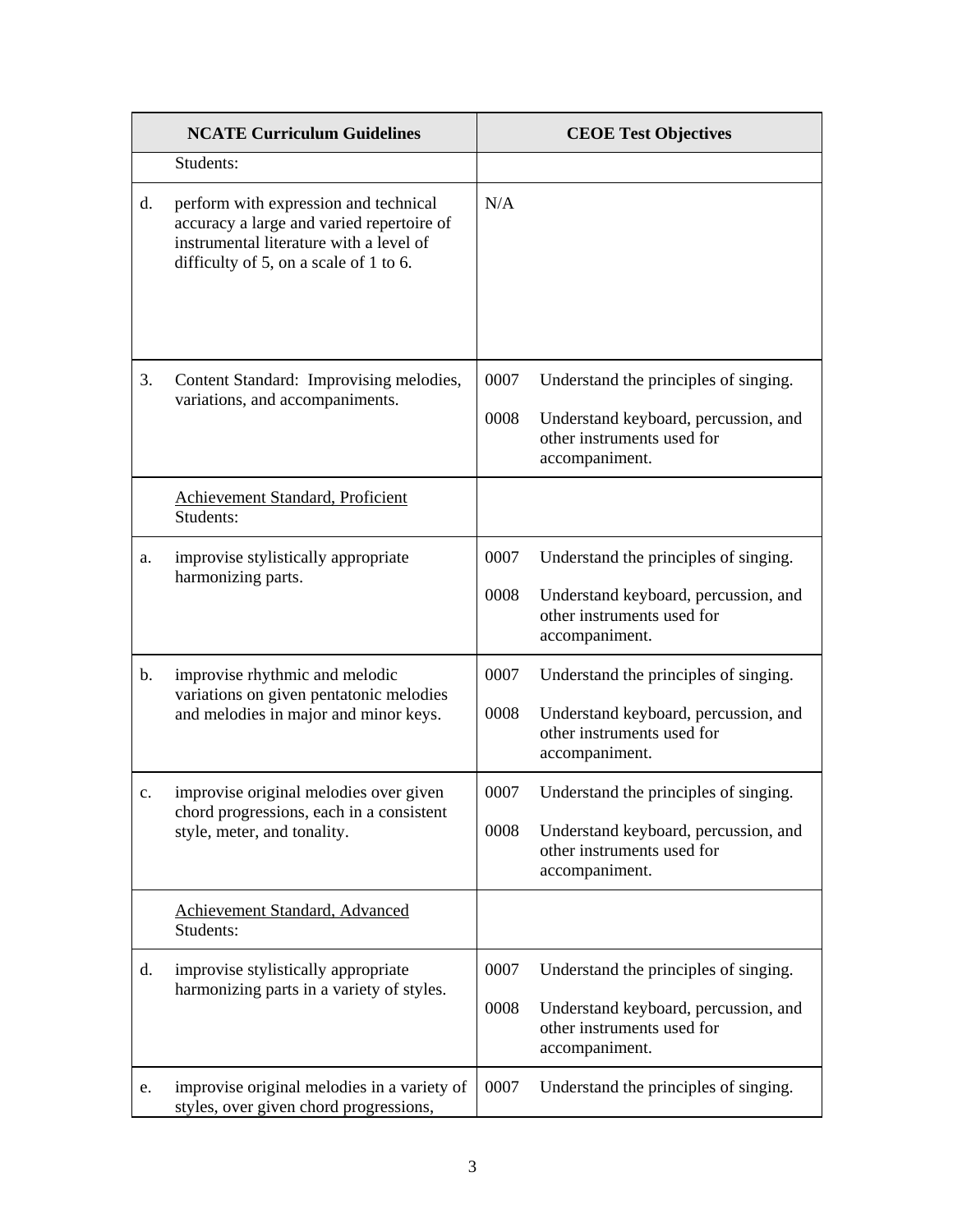|    | <b>NCATE Curriculum Guidelines</b>                                                                                                                                      |              | <b>CEOE Test Objectives</b>                                                          |
|----|-------------------------------------------------------------------------------------------------------------------------------------------------------------------------|--------------|--------------------------------------------------------------------------------------|
|    | Students:                                                                                                                                                               |              |                                                                                      |
| d. | perform with expression and technical<br>accuracy a large and varied repertoire of<br>instrumental literature with a level of<br>difficulty of 5, on a scale of 1 to 6. | N/A          |                                                                                      |
| 3. | Content Standard: Improvising melodies,<br>variations, and accompaniments.                                                                                              | 0007<br>0008 | Understand the principles of singing.<br>Understand keyboard, percussion, and        |
|    |                                                                                                                                                                         |              | other instruments used for<br>accompaniment.                                         |
|    | Achievement Standard, Proficient<br>Students:                                                                                                                           |              |                                                                                      |
| a. | improvise stylistically appropriate<br>harmonizing parts.                                                                                                               | 0007         | Understand the principles of singing.                                                |
|    |                                                                                                                                                                         | 0008         | Understand keyboard, percussion, and<br>other instruments used for<br>accompaniment. |
| b. | improvise rhythmic and melodic<br>variations on given pentatonic melodies                                                                                               | 0007         | Understand the principles of singing.                                                |
|    | and melodies in major and minor keys.                                                                                                                                   | 0008         | Understand keyboard, percussion, and<br>other instruments used for<br>accompaniment. |
| c. | improvise original melodies over given<br>chord progressions, each in a consistent                                                                                      | 0007         | Understand the principles of singing.                                                |
|    | style, meter, and tonality.                                                                                                                                             | 0008         | Understand keyboard, percussion, and<br>other instruments used for<br>accompaniment. |
|    | <b>Achievement Standard, Advanced</b><br>Students:                                                                                                                      |              |                                                                                      |
| d. | improvise stylistically appropriate<br>harmonizing parts in a variety of styles.                                                                                        | 0007         | Understand the principles of singing.                                                |
|    |                                                                                                                                                                         | 0008         | Understand keyboard, percussion, and<br>other instruments used for<br>accompaniment. |
| e. | improvise original melodies in a variety of<br>styles, over given chord progressions,                                                                                   | 0007         | Understand the principles of singing.                                                |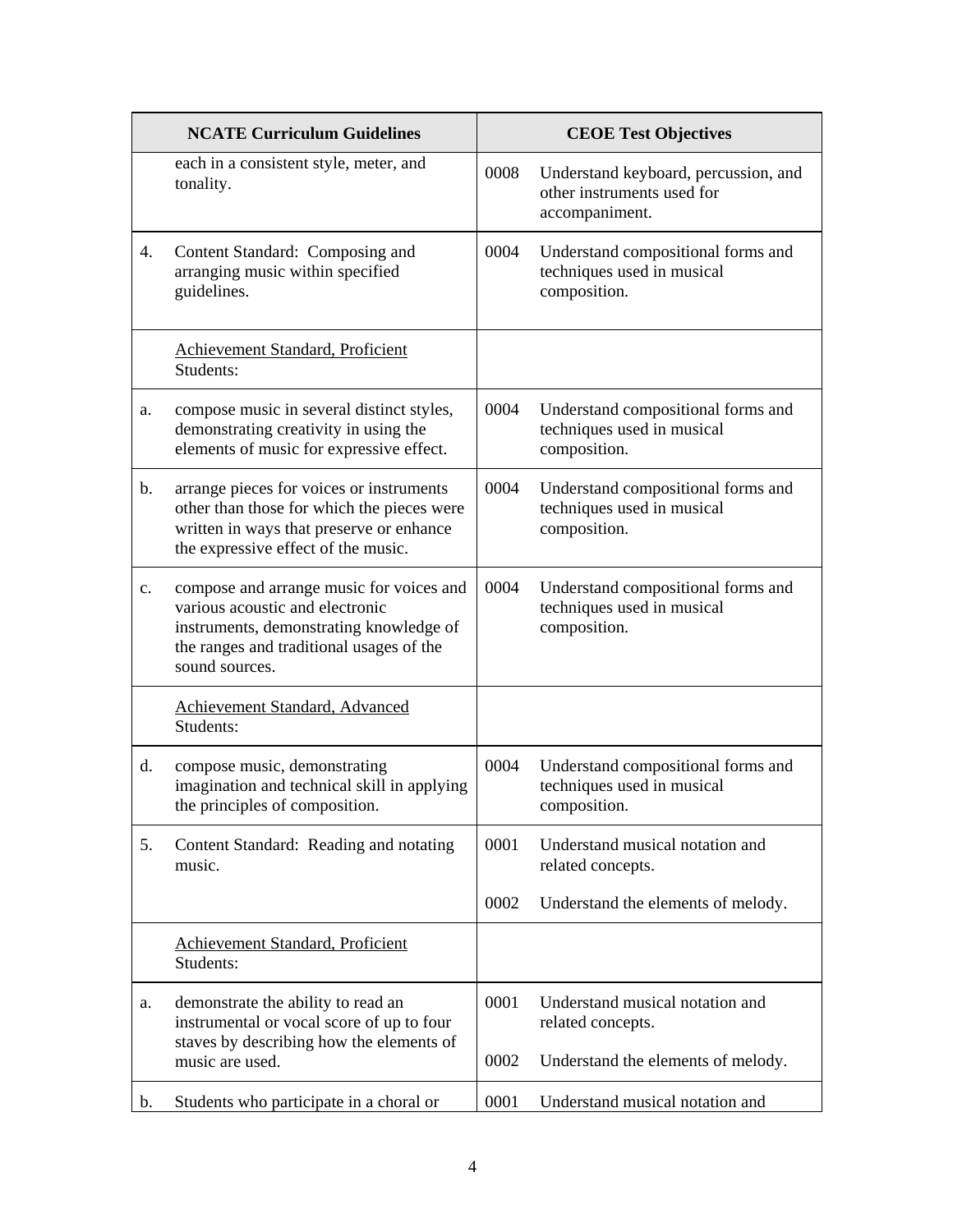|    | <b>NCATE Curriculum Guidelines</b>                                                                                                                                                   |      | <b>CEOE Test Objectives</b>                                                          |
|----|--------------------------------------------------------------------------------------------------------------------------------------------------------------------------------------|------|--------------------------------------------------------------------------------------|
|    | each in a consistent style, meter, and<br>tonality.                                                                                                                                  | 0008 | Understand keyboard, percussion, and<br>other instruments used for<br>accompaniment. |
| 4. | Content Standard: Composing and<br>arranging music within specified<br>guidelines.                                                                                                   | 0004 | Understand compositional forms and<br>techniques used in musical<br>composition.     |
|    | Achievement Standard, Proficient<br>Students:                                                                                                                                        |      |                                                                                      |
| a. | compose music in several distinct styles,<br>demonstrating creativity in using the<br>elements of music for expressive effect.                                                       | 0004 | Understand compositional forms and<br>techniques used in musical<br>composition.     |
| b. | arrange pieces for voices or instruments<br>other than those for which the pieces were<br>written in ways that preserve or enhance<br>the expressive effect of the music.            | 0004 | Understand compositional forms and<br>techniques used in musical<br>composition.     |
| c. | compose and arrange music for voices and<br>various acoustic and electronic<br>instruments, demonstrating knowledge of<br>the ranges and traditional usages of the<br>sound sources. | 0004 | Understand compositional forms and<br>techniques used in musical<br>composition.     |
|    | Achievement Standard, Advanced<br>Students:                                                                                                                                          |      |                                                                                      |
| d. | compose music, demonstrating<br>imagination and technical skill in applying<br>the principles of composition.                                                                        | 0004 | Understand compositional forms and<br>techniques used in musical<br>composition.     |
| 5. | Content Standard: Reading and notating<br>music.                                                                                                                                     | 0001 | Understand musical notation and<br>related concepts.                                 |
|    |                                                                                                                                                                                      | 0002 | Understand the elements of melody.                                                   |
|    | Achievement Standard, Proficient<br>Students:                                                                                                                                        |      |                                                                                      |
| a. | demonstrate the ability to read an<br>instrumental or vocal score of up to four<br>staves by describing how the elements of                                                          | 0001 | Understand musical notation and<br>related concepts.                                 |
|    | music are used.                                                                                                                                                                      | 0002 | Understand the elements of melody.                                                   |
| b. | Students who participate in a choral or                                                                                                                                              | 0001 | Understand musical notation and                                                      |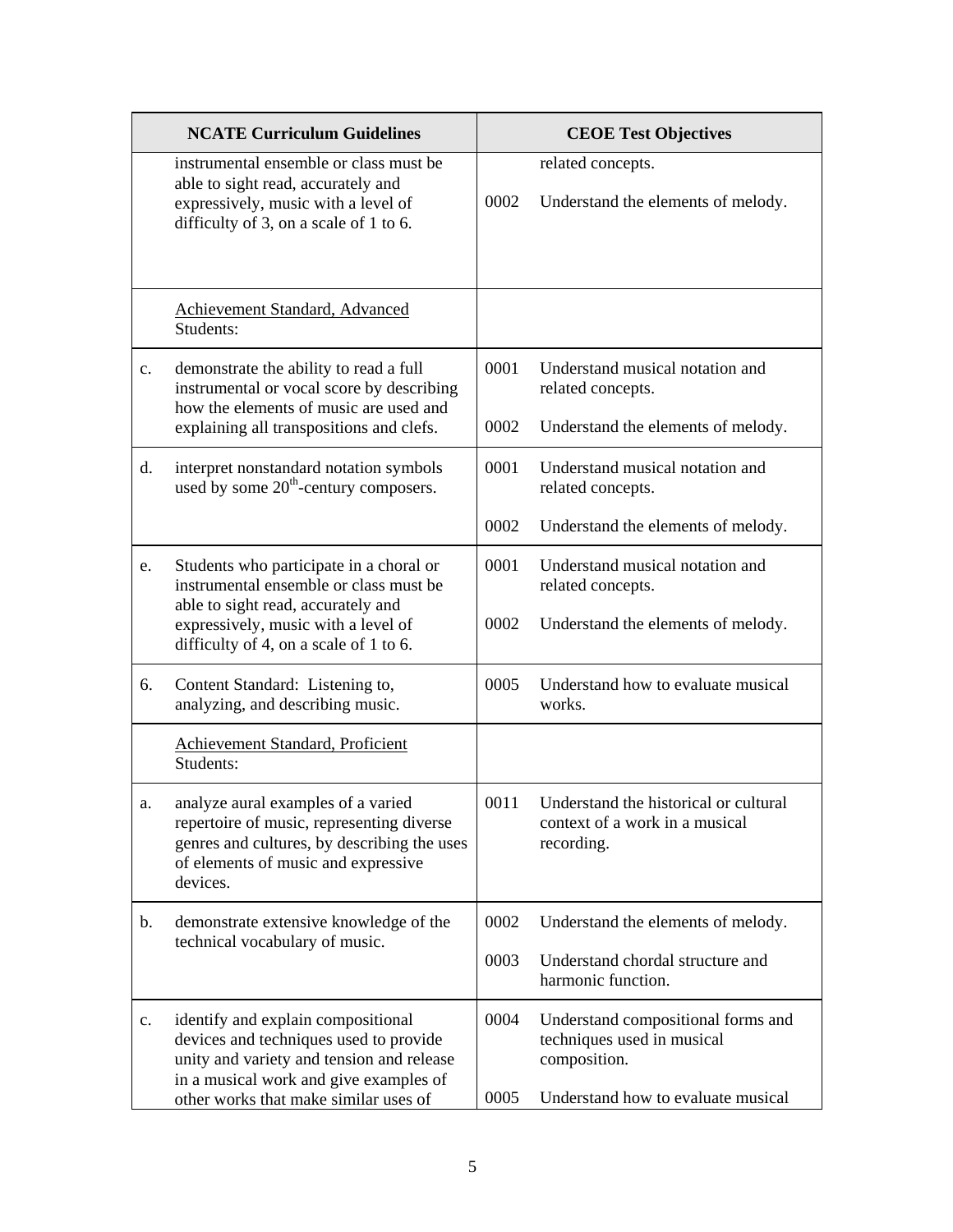|                | <b>NCATE Curriculum Guidelines</b>                                                                                                                                                |      | <b>CEOE Test Objectives</b>                                                           |
|----------------|-----------------------------------------------------------------------------------------------------------------------------------------------------------------------------------|------|---------------------------------------------------------------------------------------|
|                | instrumental ensemble or class must be<br>able to sight read, accurately and<br>expressively, music with a level of<br>difficulty of 3, on a scale of 1 to 6.                     | 0002 | related concepts.<br>Understand the elements of melody.                               |
|                | Achievement Standard, Advanced<br>Students:                                                                                                                                       |      |                                                                                       |
| c.             | demonstrate the ability to read a full<br>instrumental or vocal score by describing<br>how the elements of music are used and                                                     | 0001 | Understand musical notation and<br>related concepts.                                  |
|                | explaining all transpositions and clefs.                                                                                                                                          | 0002 | Understand the elements of melody.                                                    |
| d.             | interpret nonstandard notation symbols<br>used by some 20 <sup>th</sup> -century composers.                                                                                       | 0001 | Understand musical notation and<br>related concepts.                                  |
|                |                                                                                                                                                                                   | 0002 | Understand the elements of melody.                                                    |
| e.             | Students who participate in a choral or<br>instrumental ensemble or class must be                                                                                                 | 0001 | Understand musical notation and<br>related concepts.                                  |
|                | able to sight read, accurately and<br>expressively, music with a level of<br>difficulty of 4, on a scale of 1 to 6.                                                               | 0002 | Understand the elements of melody.                                                    |
| 6.             | Content Standard: Listening to,<br>analyzing, and describing music.                                                                                                               | 0005 | Understand how to evaluate musical<br>works.                                          |
|                | Achievement Standard, Proficient<br>Students:                                                                                                                                     |      |                                                                                       |
| a.             | analyze aural examples of a varied<br>repertoire of music, representing diverse<br>genres and cultures, by describing the uses<br>of elements of music and expressive<br>devices. | 0011 | Understand the historical or cultural<br>context of a work in a musical<br>recording. |
| b.             | demonstrate extensive knowledge of the                                                                                                                                            | 0002 | Understand the elements of melody.                                                    |
|                | technical vocabulary of music.                                                                                                                                                    | 0003 | Understand chordal structure and<br>harmonic function.                                |
| $\mathbf{c}$ . | identify and explain compositional<br>devices and techniques used to provide<br>unity and variety and tension and release<br>in a musical work and give examples of               | 0004 | Understand compositional forms and<br>techniques used in musical<br>composition.      |
|                | other works that make similar uses of                                                                                                                                             | 0005 | Understand how to evaluate musical                                                    |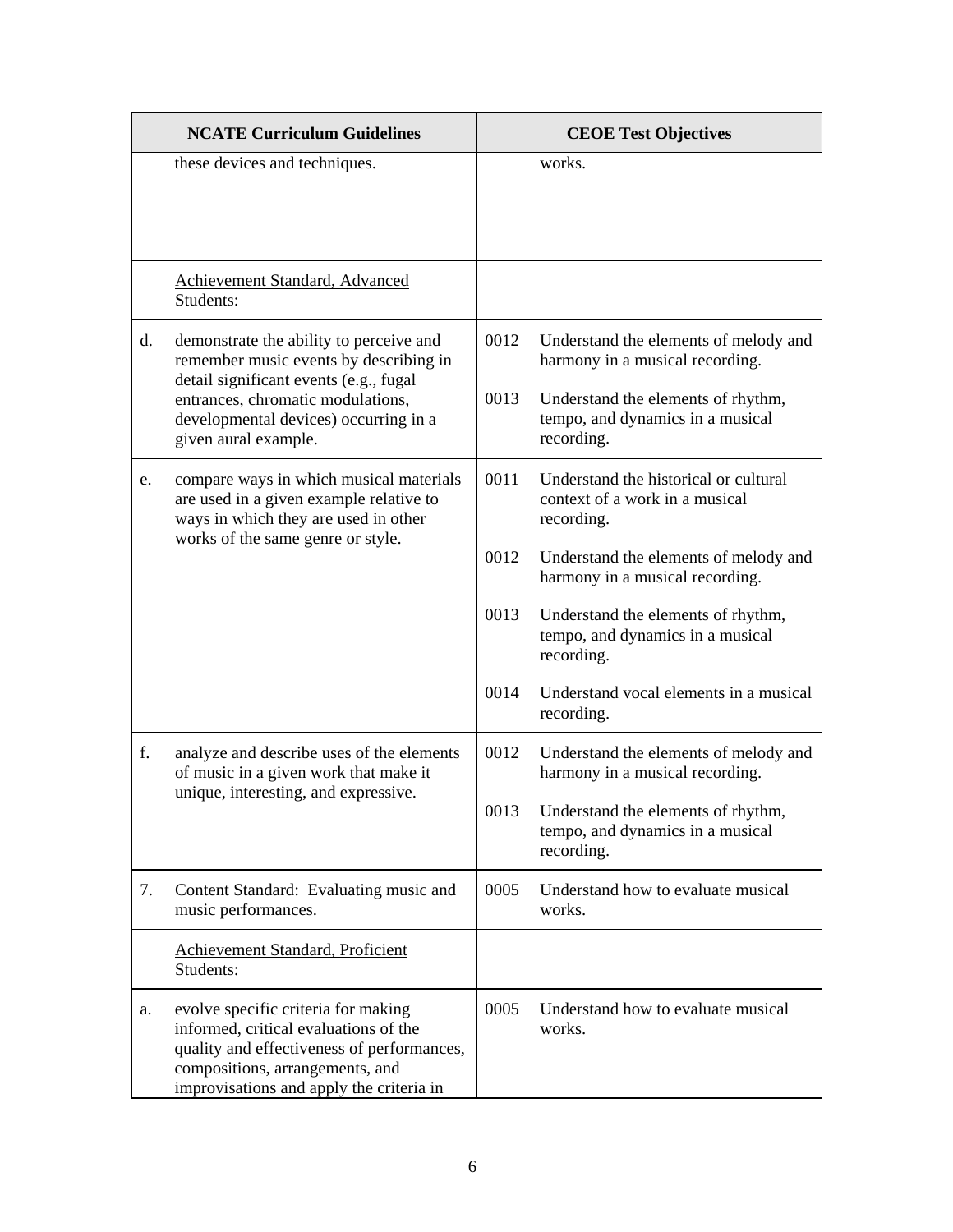|    | <b>NCATE Curriculum Guidelines</b>                                                                                                                                                                        |      | <b>CEOE Test Objectives</b>                                                           |
|----|-----------------------------------------------------------------------------------------------------------------------------------------------------------------------------------------------------------|------|---------------------------------------------------------------------------------------|
|    | these devices and techniques.                                                                                                                                                                             |      | works.                                                                                |
|    | Achievement Standard, Advanced<br>Students:                                                                                                                                                               |      |                                                                                       |
| d. | demonstrate the ability to perceive and<br>remember music events by describing in                                                                                                                         | 0012 | Understand the elements of melody and<br>harmony in a musical recording.              |
|    | detail significant events (e.g., fugal<br>entrances, chromatic modulations,<br>developmental devices) occurring in a<br>given aural example.                                                              | 0013 | Understand the elements of rhythm,<br>tempo, and dynamics in a musical<br>recording.  |
| e. | compare ways in which musical materials<br>are used in a given example relative to<br>ways in which they are used in other<br>works of the same genre or style.                                           | 0011 | Understand the historical or cultural<br>context of a work in a musical<br>recording. |
|    |                                                                                                                                                                                                           | 0012 | Understand the elements of melody and<br>harmony in a musical recording.              |
|    |                                                                                                                                                                                                           | 0013 | Understand the elements of rhythm,<br>tempo, and dynamics in a musical<br>recording.  |
|    |                                                                                                                                                                                                           | 0014 | Understand vocal elements in a musical<br>recording.                                  |
| f. | analyze and describe uses of the elements<br>of music in a given work that make it                                                                                                                        | 0012 | Understand the elements of melody and<br>harmony in a musical recording.              |
|    | unique, interesting, and expressive.                                                                                                                                                                      | 0013 | Understand the elements of rhythm,<br>tempo, and dynamics in a musical<br>recording.  |
| 7. | Content Standard: Evaluating music and<br>music performances.                                                                                                                                             | 0005 | Understand how to evaluate musical<br>works.                                          |
|    | Achievement Standard, Proficient<br>Students:                                                                                                                                                             |      |                                                                                       |
| a. | evolve specific criteria for making<br>informed, critical evaluations of the<br>quality and effectiveness of performances,<br>compositions, arrangements, and<br>improvisations and apply the criteria in | 0005 | Understand how to evaluate musical<br>works.                                          |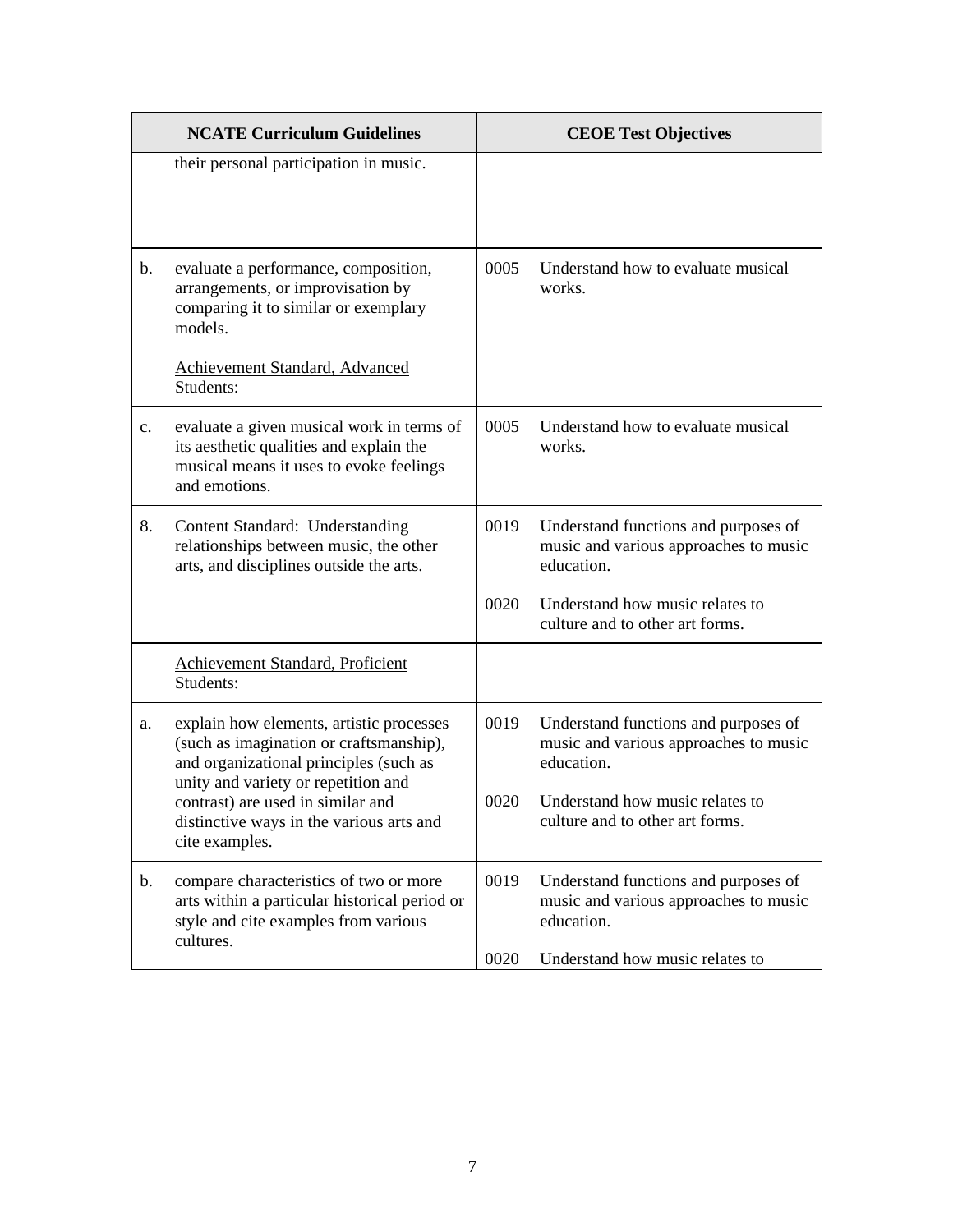|                | <b>NCATE Curriculum Guidelines</b>                                                                                                                                   |      | <b>CEOE Test Objectives</b>                                                                 |
|----------------|----------------------------------------------------------------------------------------------------------------------------------------------------------------------|------|---------------------------------------------------------------------------------------------|
|                | their personal participation in music.                                                                                                                               |      |                                                                                             |
| b.             | evaluate a performance, composition,<br>arrangements, or improvisation by<br>comparing it to similar or exemplary<br>models.                                         | 0005 | Understand how to evaluate musical<br>works.                                                |
|                | Achievement Standard, Advanced<br>Students:                                                                                                                          |      |                                                                                             |
| $\mathbf{c}$ . | evaluate a given musical work in terms of<br>its aesthetic qualities and explain the<br>musical means it uses to evoke feelings<br>and emotions.                     | 0005 | Understand how to evaluate musical<br>works.                                                |
| 8.             | Content Standard: Understanding<br>relationships between music, the other<br>arts, and disciplines outside the arts.                                                 | 0019 | Understand functions and purposes of<br>music and various approaches to music<br>education. |
|                |                                                                                                                                                                      | 0020 | Understand how music relates to<br>culture and to other art forms.                          |
|                | Achievement Standard, Proficient<br>Students:                                                                                                                        |      |                                                                                             |
| a.             | explain how elements, artistic processes<br>(such as imagination or craftsmanship),<br>and organizational principles (such as<br>unity and variety or repetition and | 0019 | Understand functions and purposes of<br>music and various approaches to music<br>education. |
|                | contrast) are used in similar and<br>distinctive ways in the various arts and<br>cite examples.                                                                      | 0020 | Understand how music relates to<br>culture and to other art forms.                          |
| b.             | compare characteristics of two or more<br>arts within a particular historical period or<br>style and cite examples from various<br>cultures.                         | 0019 | Understand functions and purposes of<br>music and various approaches to music<br>education. |
|                |                                                                                                                                                                      | 0020 | Understand how music relates to                                                             |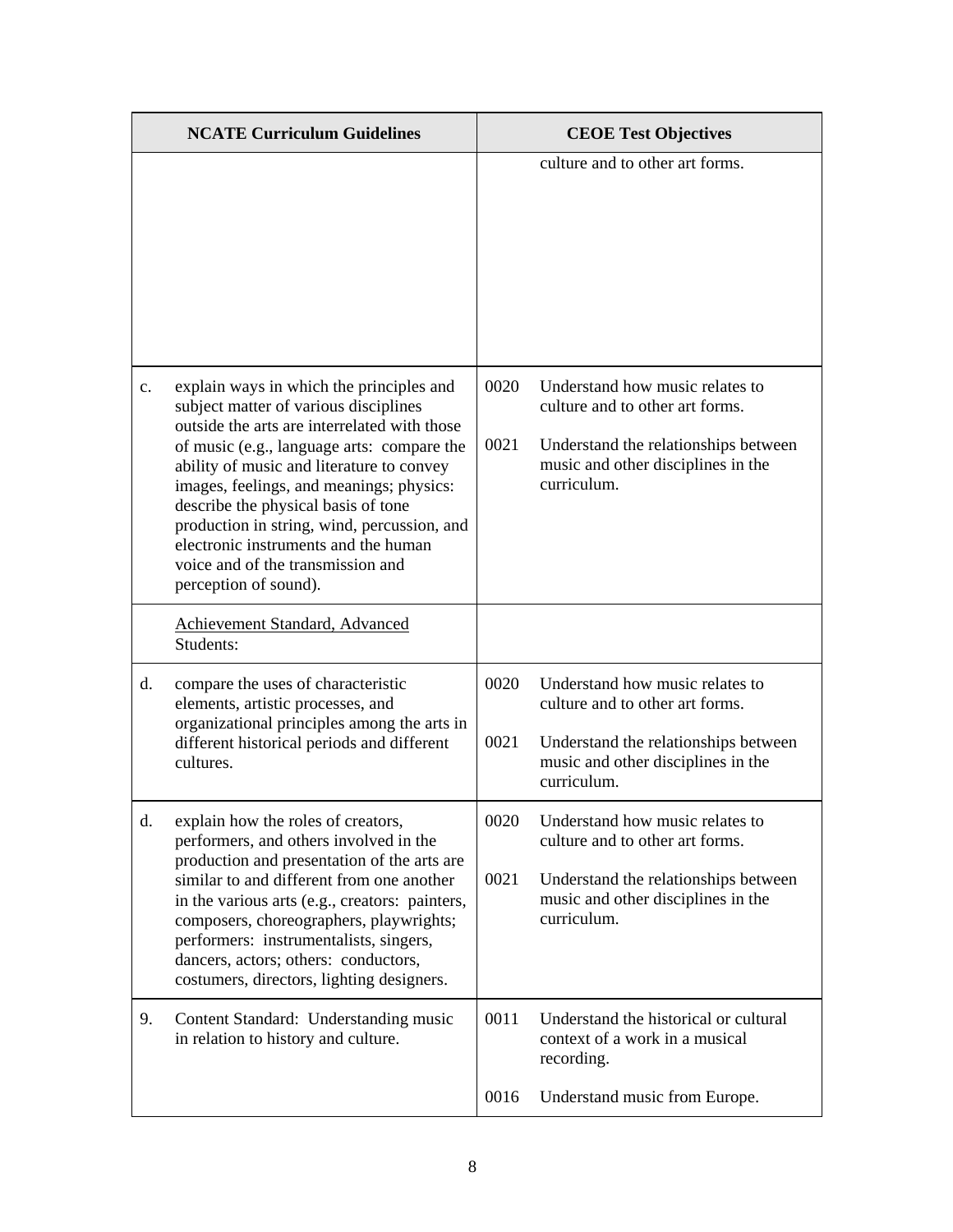|    | <b>NCATE Curriculum Guidelines</b>                                                                                                                                                                                                                                                                                                                                                                                                                                   |              | <b>CEOE Test Objectives</b>                                                                                                                                     |
|----|----------------------------------------------------------------------------------------------------------------------------------------------------------------------------------------------------------------------------------------------------------------------------------------------------------------------------------------------------------------------------------------------------------------------------------------------------------------------|--------------|-----------------------------------------------------------------------------------------------------------------------------------------------------------------|
|    |                                                                                                                                                                                                                                                                                                                                                                                                                                                                      |              | culture and to other art forms.                                                                                                                                 |
| c. | explain ways in which the principles and<br>subject matter of various disciplines<br>outside the arts are interrelated with those<br>of music (e.g., language arts: compare the<br>ability of music and literature to convey<br>images, feelings, and meanings; physics:<br>describe the physical basis of tone<br>production in string, wind, percussion, and<br>electronic instruments and the human<br>voice and of the transmission and<br>perception of sound). | 0020<br>0021 | Understand how music relates to<br>culture and to other art forms.<br>Understand the relationships between<br>music and other disciplines in the<br>curriculum. |
|    | Achievement Standard, Advanced<br>Students:                                                                                                                                                                                                                                                                                                                                                                                                                          |              |                                                                                                                                                                 |
| d. | compare the uses of characteristic<br>elements, artistic processes, and<br>organizational principles among the arts in<br>different historical periods and different<br>cultures.                                                                                                                                                                                                                                                                                    | 0020<br>0021 | Understand how music relates to<br>culture and to other art forms.<br>Understand the relationships between<br>music and other disciplines in the<br>curriculum. |
| d. | explain how the roles of creators,<br>performers, and others involved in the<br>production and presentation of the arts are<br>similar to and different from one another<br>in the various arts (e.g., creators: painters,<br>composers, choreographers, playwrights;<br>performers: instrumentalists, singers,<br>dancers, actors; others: conductors,<br>costumers, directors, lighting designers.                                                                 | 0020<br>0021 | Understand how music relates to<br>culture and to other art forms.<br>Understand the relationships between<br>music and other disciplines in the<br>curriculum. |
| 9. | Content Standard: Understanding music<br>in relation to history and culture.                                                                                                                                                                                                                                                                                                                                                                                         | 0011         | Understand the historical or cultural<br>context of a work in a musical<br>recording.                                                                           |
|    |                                                                                                                                                                                                                                                                                                                                                                                                                                                                      | 0016         | Understand music from Europe.                                                                                                                                   |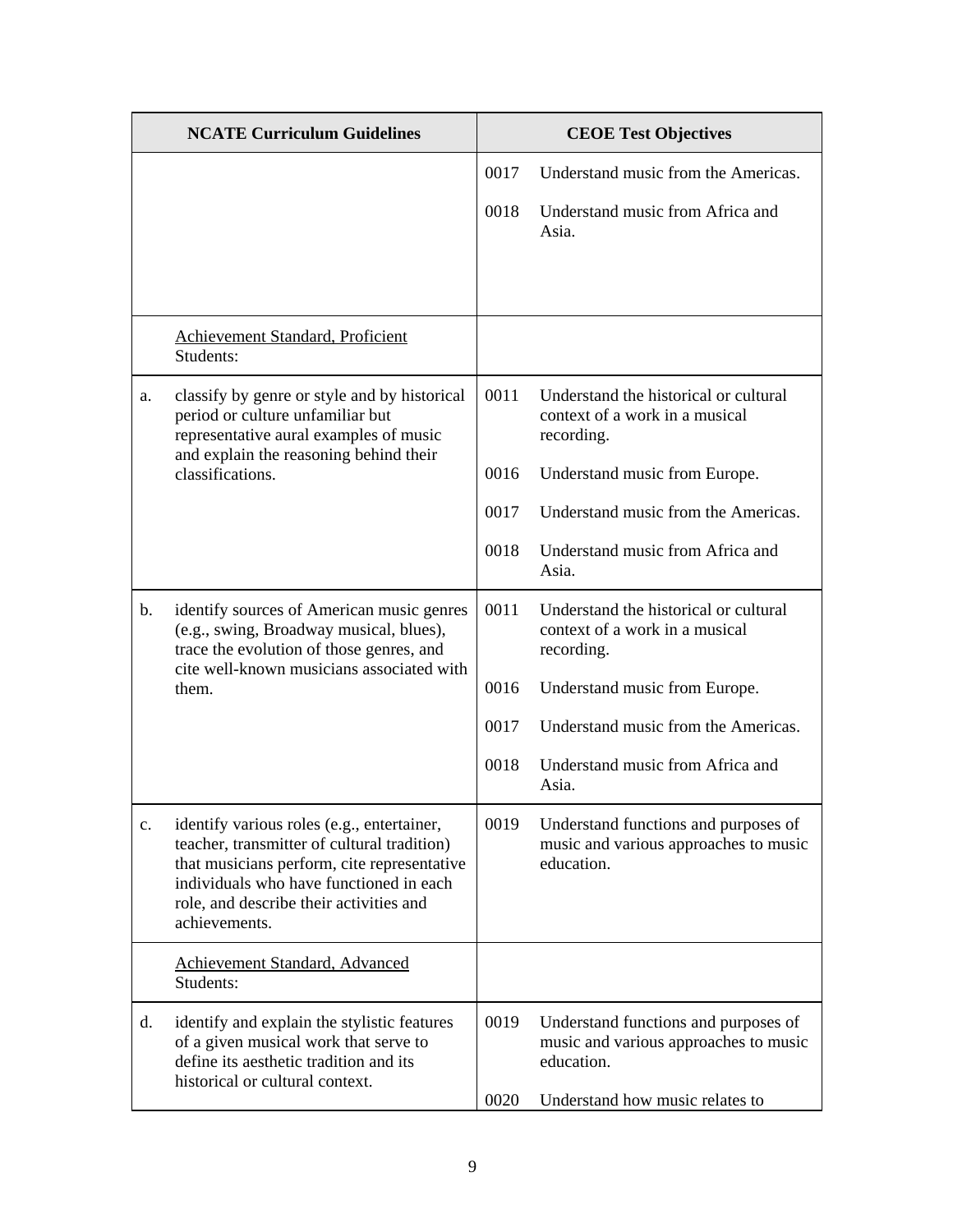|                | <b>NCATE Curriculum Guidelines</b>                                                                                                                                                                                                              |      | <b>CEOE Test Objectives</b>                                                                 |
|----------------|-------------------------------------------------------------------------------------------------------------------------------------------------------------------------------------------------------------------------------------------------|------|---------------------------------------------------------------------------------------------|
|                |                                                                                                                                                                                                                                                 | 0017 | Understand music from the Americas.                                                         |
|                |                                                                                                                                                                                                                                                 | 0018 | Understand music from Africa and<br>Asia.                                                   |
|                |                                                                                                                                                                                                                                                 |      |                                                                                             |
|                | Achievement Standard, Proficient<br>Students:                                                                                                                                                                                                   |      |                                                                                             |
| a.             | classify by genre or style and by historical<br>period or culture unfamiliar but<br>representative aural examples of music<br>and explain the reasoning behind their                                                                            | 0011 | Understand the historical or cultural<br>context of a work in a musical<br>recording.       |
|                | classifications.                                                                                                                                                                                                                                | 0016 | Understand music from Europe.                                                               |
|                |                                                                                                                                                                                                                                                 | 0017 | Understand music from the Americas.                                                         |
|                |                                                                                                                                                                                                                                                 | 0018 | Understand music from Africa and<br>Asia.                                                   |
| $\mathbf{b}$ . | identify sources of American music genres<br>(e.g., swing, Broadway musical, blues),<br>trace the evolution of those genres, and<br>cite well-known musicians associated with<br>them.                                                          | 0011 | Understand the historical or cultural<br>context of a work in a musical<br>recording.       |
|                |                                                                                                                                                                                                                                                 | 0016 | Understand music from Europe.                                                               |
|                |                                                                                                                                                                                                                                                 | 0017 | Understand music from the Americas.                                                         |
|                |                                                                                                                                                                                                                                                 | 0018 | Understand music from Africa and<br>Asia.                                                   |
| c.             | identify various roles (e.g., entertainer,<br>teacher, transmitter of cultural tradition)<br>that musicians perform, cite representative<br>individuals who have functioned in each<br>role, and describe their activities and<br>achievements. | 0019 | Understand functions and purposes of<br>music and various approaches to music<br>education. |
|                | Achievement Standard, Advanced<br>Students:                                                                                                                                                                                                     |      |                                                                                             |
| d.             | identify and explain the stylistic features<br>of a given musical work that serve to<br>define its aesthetic tradition and its<br>historical or cultural context.                                                                               | 0019 | Understand functions and purposes of<br>music and various approaches to music<br>education. |
|                |                                                                                                                                                                                                                                                 | 0020 | Understand how music relates to                                                             |